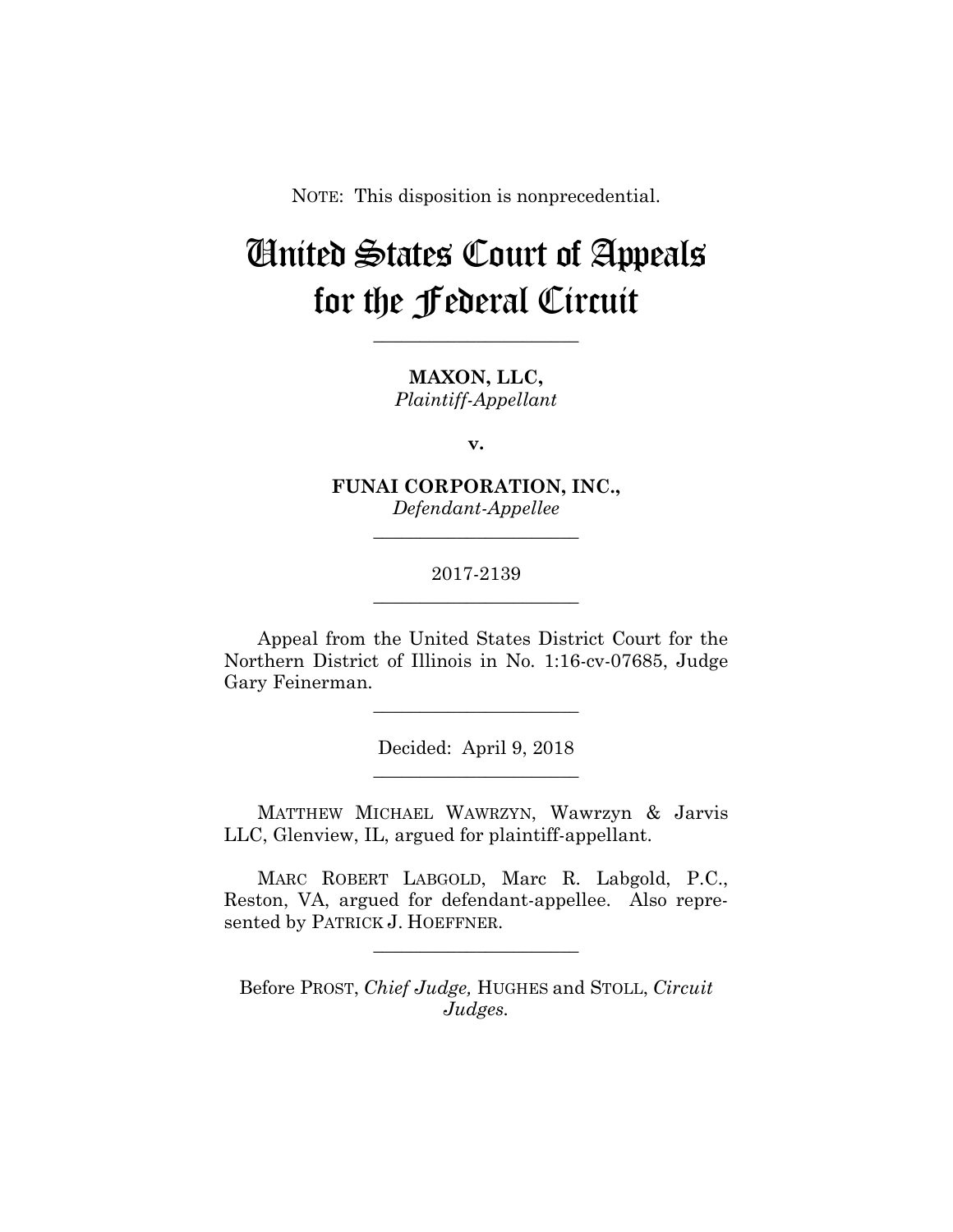NOTE: This disposition is nonprecedential.

# United States Court of Appeals for the Federal Circuit

**MAXON, LLC,** *Plaintiff-Appellant*

**\_\_\_\_\_\_\_\_\_\_\_\_\_\_\_\_\_\_\_\_\_\_** 

**v.**

**FUNAI CORPORATION, INC.,** *Defendant-Appellee*

**\_\_\_\_\_\_\_\_\_\_\_\_\_\_\_\_\_\_\_\_\_\_** 

# 2017-2139 **\_\_\_\_\_\_\_\_\_\_\_\_\_\_\_\_\_\_\_\_\_\_**

Appeal from the United States District Court for the Northern District of Illinois in No. 1:16-cv-07685, Judge Gary Feinerman.

**\_\_\_\_\_\_\_\_\_\_\_\_\_\_\_\_\_\_\_\_\_\_** 

Decided: April 9, 2018 **\_\_\_\_\_\_\_\_\_\_\_\_\_\_\_\_\_\_\_\_\_\_** 

 MATTHEW MICHAEL WAWRZYN, Wawrzyn & Jarvis LLC, Glenview, IL, argued for plaintiff-appellant.

 MARC ROBERT LABGOLD, Marc R. Labgold, P.C., Reston, VA, argued for defendant-appellee. Also represented by PATRICK J. HOEFFNER.

**\_\_\_\_\_\_\_\_\_\_\_\_\_\_\_\_\_\_\_\_\_\_** 

Before PROST, *Chief Judge,* HUGHES and STOLL, *Circuit Judges.*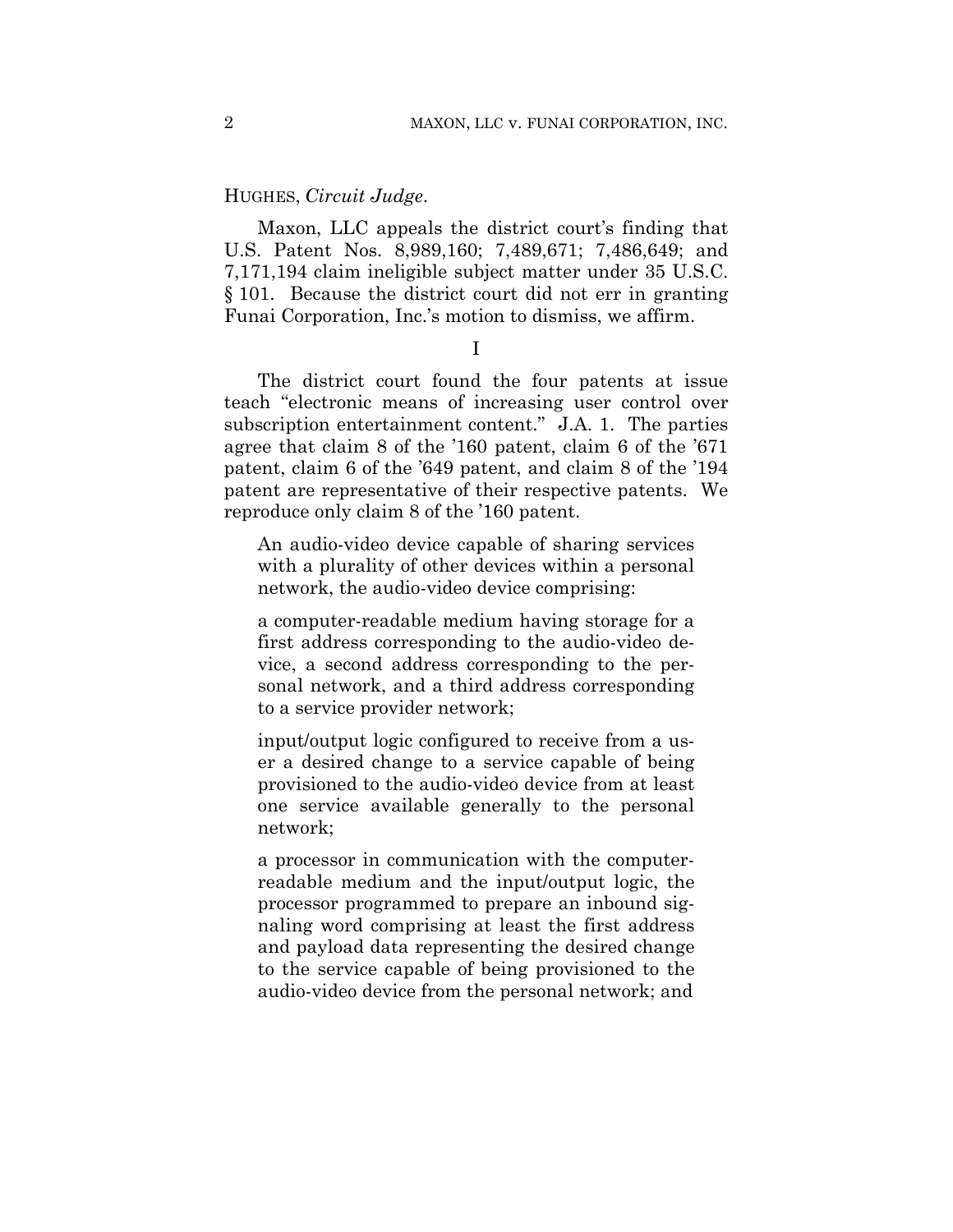## HUGHES, *Circuit Judge*.

Maxon, LLC appeals the district court's finding that U.S. Patent Nos. 8,989,160; 7,489,671; 7,486,649; and 7,171,194 claim ineligible subject matter under 35 U.S.C. § 101. Because the district court did not err in granting Funai Corporation, Inc.'s motion to dismiss, we affirm.

I

The district court found the four patents at issue teach "electronic means of increasing user control over subscription entertainment content." J.A. 1. The parties agree that claim 8 of the '160 patent, claim 6 of the '671 patent, claim 6 of the '649 patent, and claim 8 of the '194 patent are representative of their respective patents. We reproduce only claim 8 of the '160 patent.

An audio-video device capable of sharing services with a plurality of other devices within a personal network, the audio-video device comprising:

a computer-readable medium having storage for a first address corresponding to the audio-video device, a second address corresponding to the personal network, and a third address corresponding to a service provider network;

input/output logic configured to receive from a user a desired change to a service capable of being provisioned to the audio-video device from at least one service available generally to the personal network;

a processor in communication with the computerreadable medium and the input/output logic, the processor programmed to prepare an inbound signaling word comprising at least the first address and payload data representing the desired change to the service capable of being provisioned to the audio-video device from the personal network; and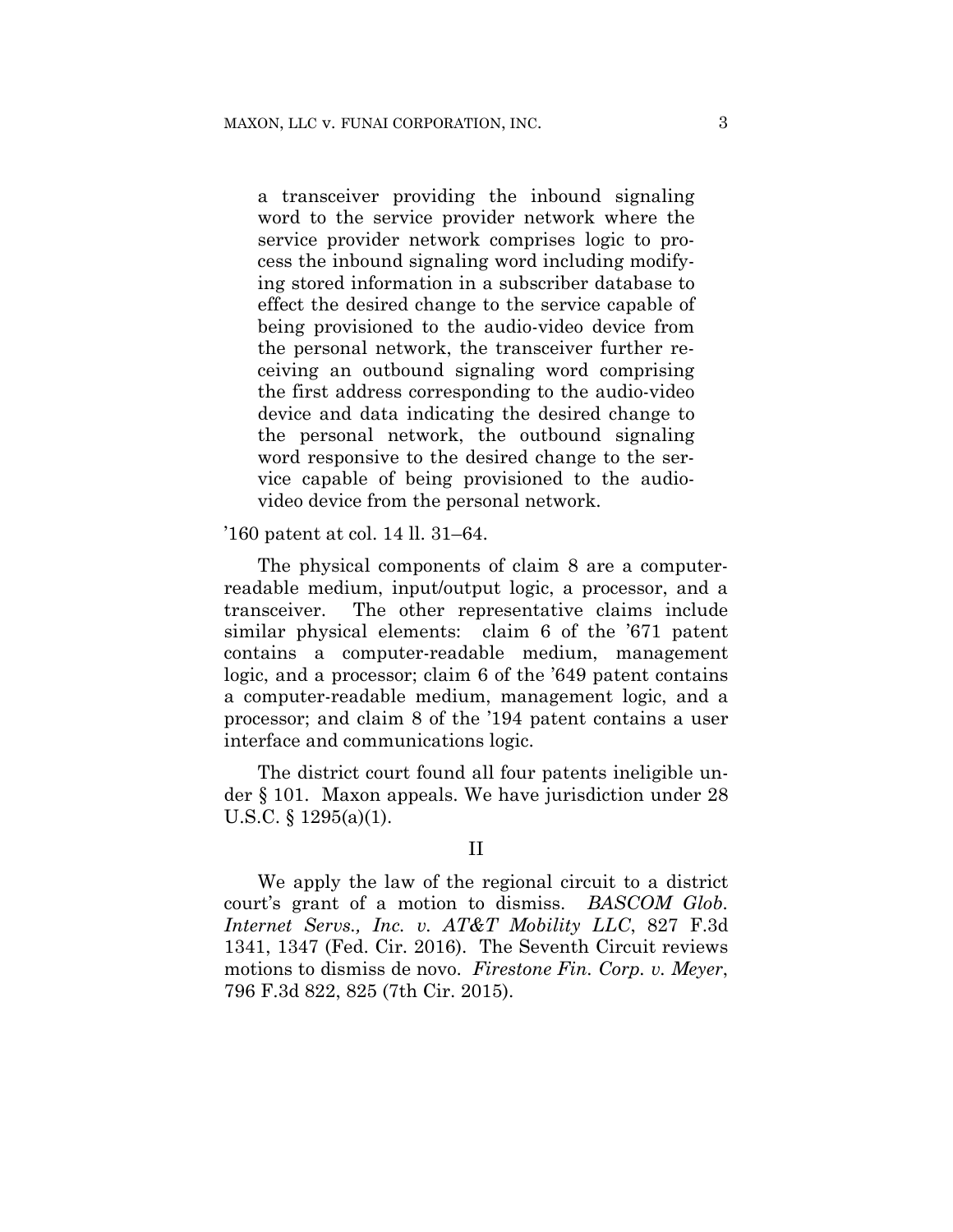a transceiver providing the inbound signaling word to the service provider network where the service provider network comprises logic to process the inbound signaling word including modifying stored information in a subscriber database to effect the desired change to the service capable of being provisioned to the audio-video device from the personal network, the transceiver further receiving an outbound signaling word comprising the first address corresponding to the audio-video device and data indicating the desired change to the personal network, the outbound signaling word responsive to the desired change to the service capable of being provisioned to the audiovideo device from the personal network.

'160 patent at col. 14 ll. 31–64.

The physical components of claim 8 are a computerreadable medium, input/output logic, a processor, and a transceiver. The other representative claims include similar physical elements: claim 6 of the '671 patent contains a computer-readable medium, management logic, and a processor; claim 6 of the '649 patent contains a computer-readable medium, management logic, and a processor; and claim 8 of the '194 patent contains a user interface and communications logic.

The district court found all four patents ineligible under § 101. Maxon appeals. We have jurisdiction under 28 U.S.C. § 1295(a)(1).

#### II

We apply the law of the regional circuit to a district court's grant of a motion to dismiss. *BASCOM Glob. Internet Servs., Inc. v. AT&T Mobility LLC*, 827 F.3d 1341, 1347 (Fed. Cir. 2016). The Seventh Circuit reviews motions to dismiss de novo. *Firestone Fin. Corp. v. Meyer*, 796 F.3d 822, 825 (7th Cir. 2015).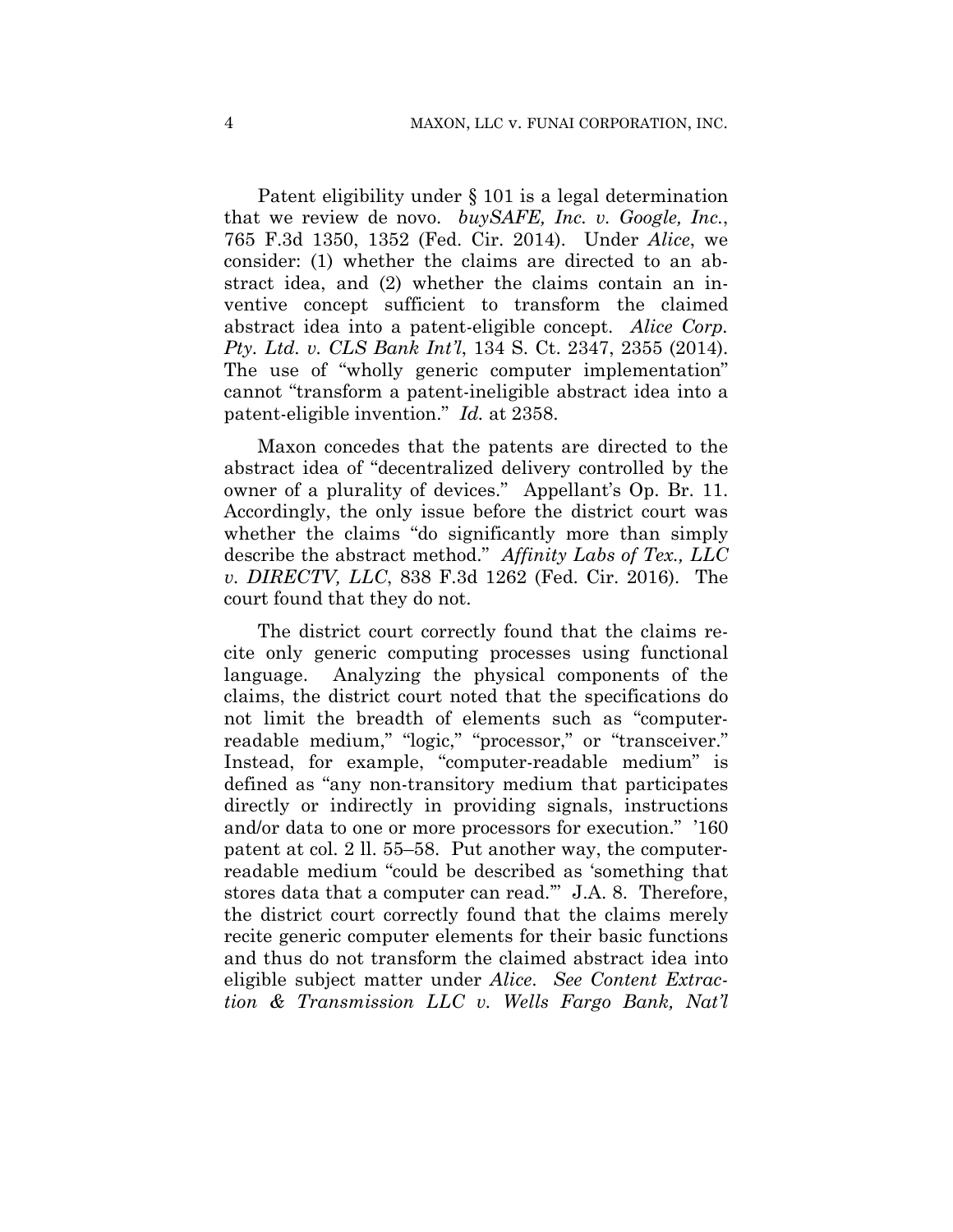Patent eligibility under § 101 is a legal determination that we review de novo. *buySAFE, Inc. v. Google, Inc.*, 765 F.3d 1350, 1352 (Fed. Cir. 2014). Under *Alice*, we consider: (1) whether the claims are directed to an abstract idea, and (2) whether the claims contain an inventive concept sufficient to transform the claimed abstract idea into a patent-eligible concept. *Alice Corp. Pty. Ltd. v. CLS Bank Int'l*, 134 S. Ct. 2347, 2355 (2014). The use of "wholly generic computer implementation" cannot "transform a patent-ineligible abstract idea into a patent-eligible invention." *Id.* at 2358.

Maxon concedes that the patents are directed to the abstract idea of "decentralized delivery controlled by the owner of a plurality of devices." Appellant's Op. Br. 11. Accordingly, the only issue before the district court was whether the claims "do significantly more than simply describe the abstract method." *Affinity Labs of Tex., LLC v. DIRECTV, LLC*, 838 F.3d 1262 (Fed. Cir. 2016). The court found that they do not.

The district court correctly found that the claims recite only generic computing processes using functional language. Analyzing the physical components of the claims, the district court noted that the specifications do not limit the breadth of elements such as "computerreadable medium," "logic," "processor," or "transceiver." Instead, for example, "computer-readable medium" is defined as "any non-transitory medium that participates directly or indirectly in providing signals, instructions and/or data to one or more processors for execution." '160 patent at col. 2 ll. 55–58. Put another way, the computerreadable medium "could be described as 'something that stores data that a computer can read.'" J.A. 8. Therefore, the district court correctly found that the claims merely recite generic computer elements for their basic functions and thus do not transform the claimed abstract idea into eligible subject matter under *Alice*. *See Content Extraction & Transmission LLC v. Wells Fargo Bank, Nat'l*